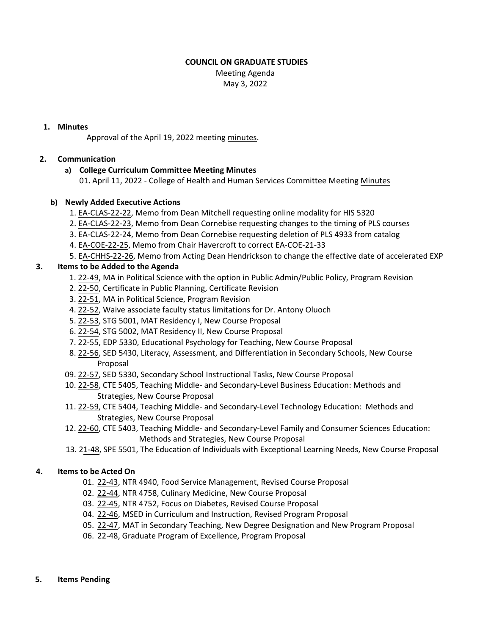#### **COUNCIL ON GRADUATE STUDIES**

Meeting Agenda May 3, 2022

#### **1. Minutes**

Approval of the April 19, 2022 meeting [minutes.](https://castle.eiu.edu/eiucgs/currentminutes/Minutes4-19-22.pdf)

### **2. Communication**

## **a) College Curriculum Committee Meeting Minutes**

01**.** April 11, 2022 - College of Health and Human Services Committee Meeting [Minutes](https://pmaileiu-my.sharepoint.com/personal/jemmett_eiu_edu/_layouts/15/onedrive.aspx?ga=1&id=%2Fpersonal%2Fjemmett%5Feiu%5Fedu%2FDocuments%2FCHHS%20Curriculum%20Committee%20Folder%202019%2FCommittee%20Folders%2F2021%2D22%20Meeting%20Folder%2F05%2D03%2D22%2FMinutes%2F04%2D11%2D22%5FCHHSCC%5FMinutes%2Epdf&parent=%2Fpersonal%2Fjemmett%5Feiu%5Fedu%2FDocuments%2FCHHS%20Curriculum%20Committee%20Folder%202019%2FCommittee%20Folders%2F2021%2D22%20Meeting%20Folder%2F05%2D03%2D22%2FMinutes)

### **b) Newly Added Executive Actions**

- 1. EA‐[CLAS](https://castle.eiu.edu/eiucgs/exec-actions/EA-CLAS-22-22.pdf)‐22‐22, Memo from Dean Mitchell requesting online modality for HIS 5320
- 2. EA‐[CLAS](https://castle.eiu.edu/eiucgs/exec-actions/EA-CLAS-22-23.pdf)‐22‐23, Memo from Dean Cornebise requesting changes to the timing of PLS courses
- 3. EA‐[CLAS](https://castle.eiu.edu/eiucgs/exec-actions/EA-CLAS-22-24.pdf)‐22‐24, Memo from Dean Cornebise requesting deletion of PLS 4933 from catalog
- 4. [EA-COE-22-25, Me](https://castle.eiu.edu/eiucgs/exec-actions/EA-COE-21-25.pdf)mo from Chair Havercroft to correct EA-COE-21-33
- 5. [EA-CHHS-22-26, Mem](https://castle.eiu.edu/eiucgs/exec-actions/EA-CHHS-22-26.pdf)o from Acting Dean Hendrickson to change the effective date of accelerated EXP

### **3. Items to be Added to the Agenda**

- 1. 22‐[49,](https://castle.eiu.edu/eiucgs/currentagendaitems/agenda22-49.pdf) MA in Political Science with the option in Public Admin/Public Policy, Program Revision
- 2. 22‐[50,](https://castle.eiu.edu/eiucgs/currentagendaitems/agenda22-50.pdf) Certificate in Public Planning, Certificate Revision
- 3. 22‐[51,](https://castle.eiu.edu/eiucgs/currentagendaitems/agenda22-51.pdf) MA in Political Science, Program Revision
- 4. 22‐[52,](https://castle.eiu.edu/eiucgs/currentagendaitems/agenda22-52.pdf) Waive associate faculty status limitations for Dr. Antony Oluoch
- 5. 22‐[53,](https://castle.eiu.edu/eiucgs/currentagendaitems/agenda22-53.pdf) STG 5001, MAT Residency I, New Course Proposal
- 6. 22‐[54,](https://castle.eiu.edu/eiucgs/currentagendaitems/agenda22-54.pdf) STG 5002, MAT Residency II, New Course Proposal
- 7. 22‐[55,](https://castle.eiu.edu/eiucgs/currentagendaitems/agenda22-55.pdf) EDP 5330, Educational Psychology for Teaching, New Course Proposal
- 8. 22‐[56,](https://castle.eiu.edu/eiucgs/currentagendaitems/agenda22-56.pdf) SED 5430, Literacy, Assessment, and Differentiation in Secondary Schools, New Course Proposal
- 09. [22](https://castle.eiu.edu/eiucgs/currentagendaitems/agenda22-57.pdf)‐57, SED 5330, Secondary School Instructional Tasks, New Course Proposal
- 10. 22‐[58,](https://castle.eiu.edu/eiucgs/currentagendaitems/agenda22-58.pdf) CTE 5405, Teaching Middle‐ and Secondary‐Level Business Education: Methods and Strategies, New Course Proposal
- 11. 22‐[59,](https://castle.eiu.edu/eiucgs/currentagendaitems/agenda22-59.pdf) CTE 5404, Teaching Middle‐ and Secondary‐Level Technology Education: Methods and Strategies, New Course Proposal
- 12. 22‐[60,](https://castle.eiu.edu/eiucgs/currentagendaitems/agenda22-60.pdf) CTE 5403, Teaching Middle‐ and Secondary‐Level Family and Consumer Sciences Education: Methods and Strategies, New Course Proposal
- 13. [21-48, S](https://castle.eiu.edu/eiucgs/currentagendaitems/agenda21-48.pdf)PE 5501, The Education of Individuals with Exceptional Learning Needs, New Course Proposal

# **4. Items to be Acted On**

- 01. 22‐[43](https://castle.eiu.edu/eiucgs/currentagendaitems/agenda22-43.pdf), NTR 4940, Food Service Management, Revised Course Proposal
- 02. 22‐[44,](https://castle.eiu.edu/eiucgs/currentagendaitems/agenda22-44.pdf) NTR 4758, Culinary Medicine, New Course Proposal
- 03. 22‐[45,](https://castle.eiu.edu/eiucgs/currentagendaitems/agenda22-45.pdf) NTR 4752, Focus on Diabetes, Revised Course Proposal
- 04. 22‐[46,](https://castle.eiu.edu/eiucgs/currentagendaitems/agenda22-46.pdf) MSED in Curriculum and Instruction, Revised Program Proposal
- 05. 22-[47,](https://castle.eiu.edu/eiucgs/currentagendaitems/agenda22-47.pdf) MAT in Secondary Teaching, New Degree Designation and New Program Proposal
- 06. 22‐[48,](https://castle.eiu.edu/eiucgs/currentagendaitems/agenda22-48.pdf) Graduate Program of Excellence, Program Proposal
- **5. Items Pending**